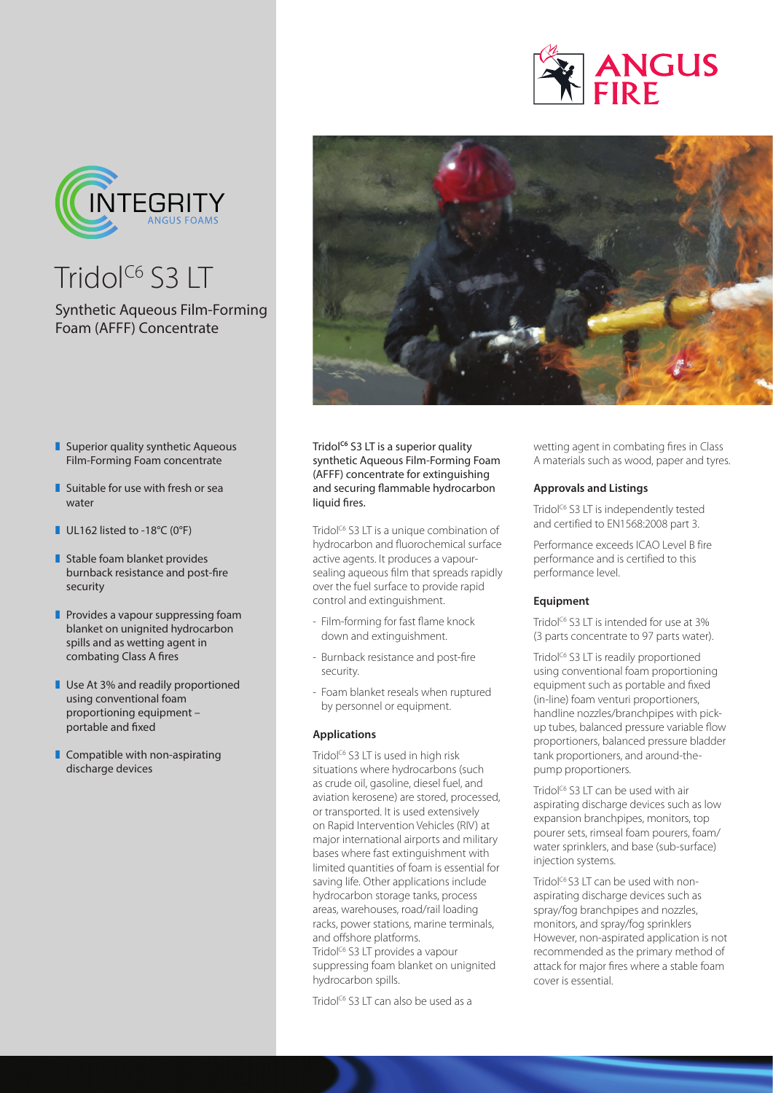



 $Tridol<sup>C6</sup>$  S3 LT

# Synthetic Aqueous Film-Forming Foam (AFFF) Concentrate



- $\blacksquare$  Superior quality synthetic Aqueous Film-Forming Foam concentrate
- $\blacksquare$  Suitable for use with fresh or sea water
- $\blacksquare$  UL162 listed to -18°C (0°F)
- $\blacksquare$  Stable foam blanket provides burnback resistance and post-fire security
- $\blacksquare$  Provides a vapour suppressing foam blanket on unignited hydrocarbon spills and as wetting agent in combating Class A fires
- **Use At 3% and readily proportioned** using conventional foam proportioning equipment – portable and fixed
- $\blacksquare$  Compatible with non-aspirating discharge devices

Tridol<sup>c6</sup> S3 LT is a superior quality synthetic Aqueous Film-Forming Foam (AFFF) concentrate for extinguishing and securing flammable hydrocarbon liquid fires.

Tridol<sup>C6</sup> S3 LT is a unique combination of hydrocarbon and fluorochemical surface active agents. It produces a vapoursealing aqueous film that spreads rapidly over the fuel surface to provide rapid control and extinguishment.

- Film-forming for fast flame knock down and extinguishment.
- Burnback resistance and post-fire security.
- Foam blanket reseals when ruptured by personnel or equipment.

## **Applications**

Tridol<sup>c6</sup> S3 LT is used in high risk situations where hydrocarbons (such as crude oil, gasoline, diesel fuel, and aviation kerosene) are stored, processed, or transported. It is used extensively on Rapid Intervention Vehicles (RIV) at major international airports and military bases where fast extinguishment with limited quantities of foam is essential for saving life. Other applications include hydrocarbon storage tanks, process areas, warehouses, road/rail loading racks, power stations, marine terminals, and offshore platforms. Tridol<sup>c6</sup> S3 LT provides a vapour

suppressing foam blanket on unignited hydrocarbon spills.

Tridol<sup>c6</sup> S3 LT can also be used as a

wetting agent in combating fires in Class A materials such as wood, paper and tyres.

## **Approvals and Listings**

Tridol<sup>c6</sup> S3 LT is independently tested and certified to EN1568:2008 part 3.

Performance exceeds ICAO Level B fire performance and is certified to this performance level.

# **Equipment**

Tridol<sup>c6</sup> S3 LT is intended for use at 3% (3 parts concentrate to 97 parts water).

Tridol<sup>c6</sup> S3 LT is readily proportioned using conventional foam proportioning equipment such as portable and fixed (in-line) foam venturi proportioners, handline nozzles/branchpipes with pickup tubes, balanced pressure variable flow proportioners, balanced pressure bladder tank proportioners, and around-thepump proportioners.

Tridol<sup> $C_6$ </sup> S3 LT can be used with air aspirating discharge devices such as low expansion branchpipes, monitors, top pourer sets, rimseal foam pourers, foam/ water sprinklers, and base (sub-surface) injection systems.

Tridol<sup>c6</sup> S3 LT can be used with nonaspirating discharge devices such as spray/fog branchpipes and nozzles, monitors, and spray/fog sprinklers However, non-aspirated application is not recommended as the primary method of attack for major fires where a stable foam cover is essential.